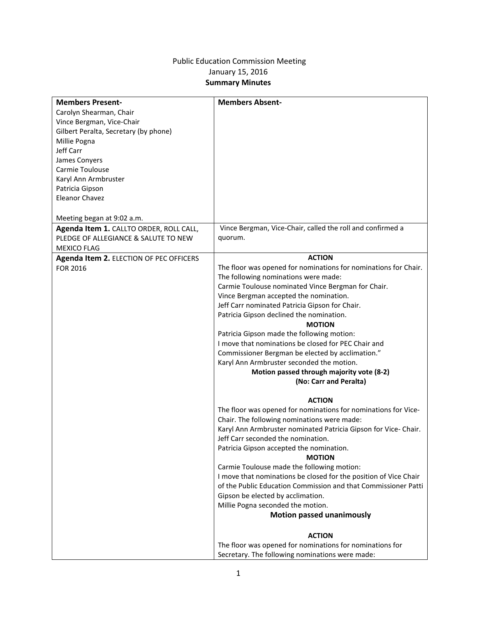## Public Education Commission Meeting January 15, 2016 **Summary Minutes**

| <b>Members Present-</b>                 | <b>Members Absent-</b>                                           |
|-----------------------------------------|------------------------------------------------------------------|
| Carolyn Shearman, Chair                 |                                                                  |
| Vince Bergman, Vice-Chair               |                                                                  |
| Gilbert Peralta, Secretary (by phone)   |                                                                  |
| Millie Pogna                            |                                                                  |
| Jeff Carr                               |                                                                  |
| James Conyers                           |                                                                  |
| Carmie Toulouse                         |                                                                  |
| Karyl Ann Armbruster                    |                                                                  |
| Patricia Gipson                         |                                                                  |
| <b>Eleanor Chavez</b>                   |                                                                  |
|                                         |                                                                  |
| Meeting began at 9:02 a.m.              |                                                                  |
|                                         |                                                                  |
| Agenda Item 1. CALLTO ORDER, ROLL CALL, | Vince Bergman, Vice-Chair, called the roll and confirmed a       |
| PLEDGE OF ALLEGIANCE & SALUTE TO NEW    | quorum.                                                          |
| <b>MEXICO FLAG</b>                      |                                                                  |
| Agenda Item 2. ELECTION OF PEC OFFICERS | <b>ACTION</b>                                                    |
| FOR 2016                                | The floor was opened for nominations for nominations for Chair.  |
|                                         | The following nominations were made:                             |
|                                         | Carmie Toulouse nominated Vince Bergman for Chair.               |
|                                         | Vince Bergman accepted the nomination.                           |
|                                         | Jeff Carr nominated Patricia Gipson for Chair.                   |
|                                         | Patricia Gipson declined the nomination.                         |
|                                         | <b>MOTION</b>                                                    |
|                                         | Patricia Gipson made the following motion:                       |
|                                         | I move that nominations be closed for PEC Chair and              |
|                                         | Commissioner Bergman be elected by acclimation."                 |
|                                         | Karyl Ann Armbruster seconded the motion.                        |
|                                         | Motion passed through majority vote (8-2)                        |
|                                         | (No: Carr and Peralta)                                           |
|                                         |                                                                  |
|                                         | <b>ACTION</b>                                                    |
|                                         | The floor was opened for nominations for nominations for Vice-   |
|                                         | Chair. The following nominations were made:                      |
|                                         | Karyl Ann Armbruster nominated Patricia Gipson for Vice-Chair.   |
|                                         | Jeff Carr seconded the nomination.                               |
|                                         | Patricia Gipson accepted the nomination.                         |
|                                         | <b>MOTION</b>                                                    |
|                                         | Carmie Toulouse made the following motion:                       |
|                                         | I move that nominations be closed for the position of Vice Chair |
|                                         |                                                                  |
|                                         | of the Public Education Commission and that Commissioner Patti   |
|                                         | Gipson be elected by acclimation.                                |
|                                         | Millie Pogna seconded the motion.                                |
|                                         | <b>Motion passed unanimously</b>                                 |
|                                         |                                                                  |
|                                         | <b>ACTION</b>                                                    |
|                                         | The floor was opened for nominations for nominations for         |
|                                         | Secretary. The following nominations were made:                  |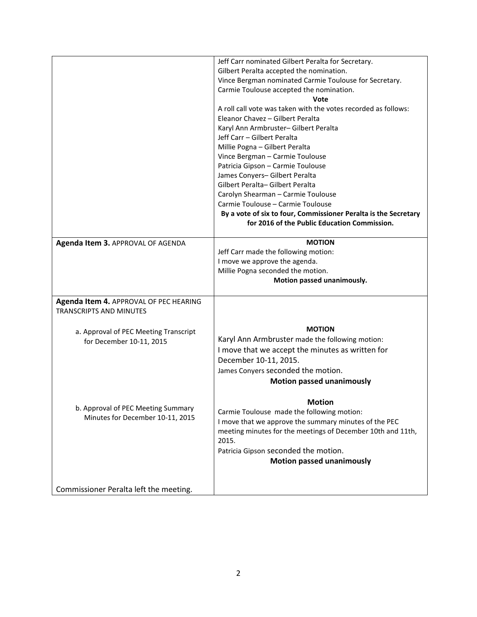|                                        | Jeff Carr nominated Gilbert Peralta for Secretary.              |
|----------------------------------------|-----------------------------------------------------------------|
|                                        | Gilbert Peralta accepted the nomination.                        |
|                                        | Vince Bergman nominated Carmie Toulouse for Secretary.          |
|                                        | Carmie Toulouse accepted the nomination.                        |
|                                        | Vote                                                            |
|                                        | A roll call vote was taken with the votes recorded as follows:  |
|                                        | Eleanor Chavez - Gilbert Peralta                                |
|                                        | Karyl Ann Armbruster- Gilbert Peralta                           |
|                                        | Jeff Carr - Gilbert Peralta                                     |
|                                        | Millie Pogna - Gilbert Peralta                                  |
|                                        | Vince Bergman - Carmie Toulouse                                 |
|                                        | Patricia Gipson - Carmie Toulouse                               |
|                                        | James Conyers- Gilbert Peralta                                  |
|                                        | Gilbert Peralta-Gilbert Peralta                                 |
|                                        | Carolyn Shearman - Carmie Toulouse                              |
|                                        | Carmie Toulouse - Carmie Toulouse                               |
|                                        | By a vote of six to four, Commissioner Peralta is the Secretary |
|                                        | for 2016 of the Public Education Commission.                    |
| Agenda Item 3. APPROVAL OF AGENDA      | <b>MOTION</b>                                                   |
|                                        | Jeff Carr made the following motion:                            |
|                                        | I move we approve the agenda.                                   |
|                                        | Millie Pogna seconded the motion.                               |
|                                        | Motion passed unanimously.                                      |
|                                        |                                                                 |
| Agenda Item 4. APPROVAL OF PEC HEARING |                                                                 |
| <b>TRANSCRIPTS AND MINUTES</b>         |                                                                 |
|                                        |                                                                 |
| a. Approval of PEC Meeting Transcript  | <b>MOTION</b>                                                   |
| for December 10-11, 2015               | Karyl Ann Armbruster made the following motion:                 |
|                                        | I move that we accept the minutes as written for                |
|                                        | December 10-11, 2015.                                           |
|                                        | James Conyers seconded the motion.                              |
|                                        | <b>Motion passed unanimously</b>                                |
|                                        |                                                                 |
|                                        |                                                                 |
|                                        | <b>Motion</b>                                                   |
| b. Approval of PEC Meeting Summary     | Carmie Toulouse made the following motion:                      |
| Minutes for December 10-11, 2015       | I move that we approve the summary minutes of the PEC           |
|                                        | meeting minutes for the meetings of December 10th and 11th,     |
|                                        | 2015.                                                           |
|                                        | Patricia Gipson seconded the motion.                            |
|                                        | <b>Motion passed unanimously</b>                                |
|                                        |                                                                 |
| Commissioner Peralta left the meeting. |                                                                 |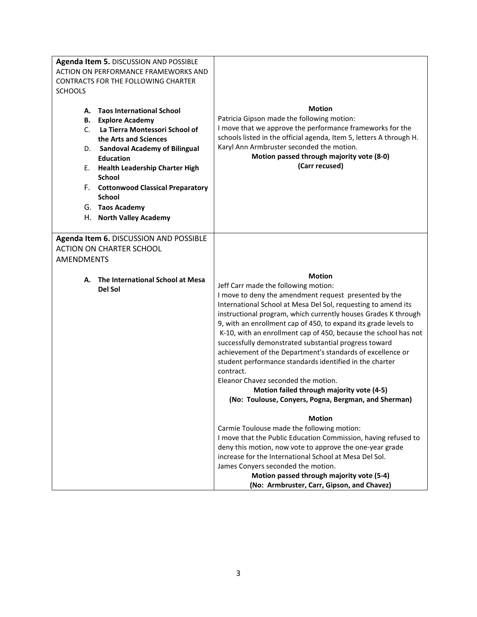| Agenda Item 5. DISCUSSION AND POSSIBLE<br>ACTION ON PERFORMANCE FRAMEWORKS AND<br><b>CONTRACTS FOR THE FOLLOWING CHARTER</b><br><b>SCHOOLS</b><br><b>Taos International School</b><br>А.<br><b>B.</b> Explore Academy<br>C. La Tierra Montessori School of<br>the Arts and Sciences<br><b>Sandoval Academy of Bilingual</b><br>D.<br><b>Education</b><br>E. Health Leadership Charter High<br><b>School</b><br>F. Cottonwood Classical Preparatory<br><b>School</b><br>G. Taos Academy<br>H. North Valley Academy | <b>Motion</b><br>Patricia Gipson made the following motion:<br>I move that we approve the performance frameworks for the<br>schools listed in the official agenda, Item 5, letters A through H.<br>Karyl Ann Armbruster seconded the motion.<br>Motion passed through majority vote (8-0)<br>(Carr recused)                                                                                                                                                                                                                                                                                                                                                                                                                                                                                                                                                                                                                                                                                                                                                                                                                |
|-------------------------------------------------------------------------------------------------------------------------------------------------------------------------------------------------------------------------------------------------------------------------------------------------------------------------------------------------------------------------------------------------------------------------------------------------------------------------------------------------------------------|----------------------------------------------------------------------------------------------------------------------------------------------------------------------------------------------------------------------------------------------------------------------------------------------------------------------------------------------------------------------------------------------------------------------------------------------------------------------------------------------------------------------------------------------------------------------------------------------------------------------------------------------------------------------------------------------------------------------------------------------------------------------------------------------------------------------------------------------------------------------------------------------------------------------------------------------------------------------------------------------------------------------------------------------------------------------------------------------------------------------------|
| Agenda Item 6. DISCUSSION AND POSSIBLE<br><b>ACTION ON CHARTER SCHOOL</b><br><b>AMENDMENTS</b>                                                                                                                                                                                                                                                                                                                                                                                                                    |                                                                                                                                                                                                                                                                                                                                                                                                                                                                                                                                                                                                                                                                                                                                                                                                                                                                                                                                                                                                                                                                                                                            |
| The International School at Mesa<br>А.<br>Del Sol                                                                                                                                                                                                                                                                                                                                                                                                                                                                 | <b>Motion</b><br>Jeff Carr made the following motion:<br>I move to deny the amendment request presented by the<br>International School at Mesa Del Sol, requesting to amend its<br>instructional program, which currently houses Grades K through<br>9, with an enrollment cap of 450, to expand its grade levels to<br>K-10, with an enrollment cap of 450, because the school has not<br>successfully demonstrated substantial progress toward<br>achievement of the Department's standards of excellence or<br>student performance standards identified in the charter<br>contract.<br>Eleanor Chavez seconded the motion.<br>Motion failed through majority vote (4-5)<br>(No: Toulouse, Conyers, Pogna, Bergman, and Sherman)<br><b>Motion</b><br>Carmie Toulouse made the following motion:<br>I move that the Public Education Commission, having refused to<br>deny this motion, now vote to approve the one-year grade<br>increase for the International School at Mesa Del Sol.<br>James Conyers seconded the motion.<br>Motion passed through majority vote (5-4)<br>(No: Armbruster, Carr, Gipson, and Chavez) |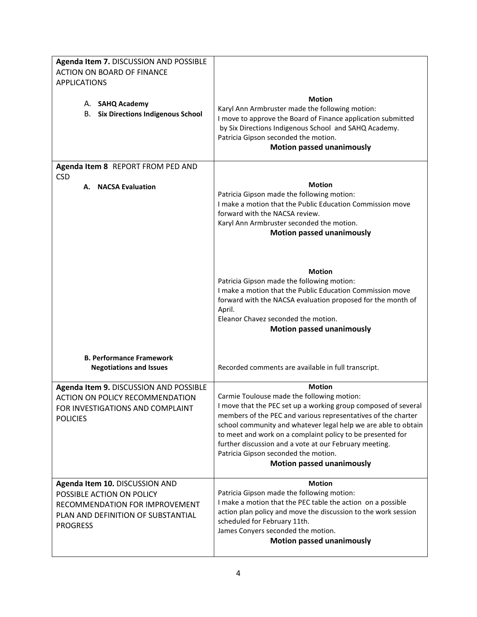| Agenda Item 7. DISCUSSION AND POSSIBLE                                                                                                                 |                                                                                                                                                                                                                                                                                                                                                                                                                                                                      |
|--------------------------------------------------------------------------------------------------------------------------------------------------------|----------------------------------------------------------------------------------------------------------------------------------------------------------------------------------------------------------------------------------------------------------------------------------------------------------------------------------------------------------------------------------------------------------------------------------------------------------------------|
| <b>ACTION ON BOARD OF FINANCE</b><br><b>APPLICATIONS</b>                                                                                               |                                                                                                                                                                                                                                                                                                                                                                                                                                                                      |
| A. SAHQ Academy<br><b>B.</b> Six Directions Indigenous School                                                                                          | <b>Motion</b><br>Karyl Ann Armbruster made the following motion:<br>I move to approve the Board of Finance application submitted<br>by Six Directions Indigenous School and SAHQ Academy.<br>Patricia Gipson seconded the motion.<br><b>Motion passed unanimously</b>                                                                                                                                                                                                |
| Agenda Item 8 REPORT FROM PED AND                                                                                                                      |                                                                                                                                                                                                                                                                                                                                                                                                                                                                      |
| <b>CSD</b><br>A. NACSA Evaluation                                                                                                                      | <b>Motion</b><br>Patricia Gipson made the following motion:<br>I make a motion that the Public Education Commission move<br>forward with the NACSA review.<br>Karyl Ann Armbruster seconded the motion.<br><b>Motion passed unanimously</b>                                                                                                                                                                                                                          |
|                                                                                                                                                        | <b>Motion</b><br>Patricia Gipson made the following motion:<br>I make a motion that the Public Education Commission move<br>forward with the NACSA evaluation proposed for the month of<br>April.<br>Eleanor Chavez seconded the motion.<br><b>Motion passed unanimously</b>                                                                                                                                                                                         |
| <b>B. Performance Framework</b><br><b>Negotiations and Issues</b>                                                                                      | Recorded comments are available in full transcript.                                                                                                                                                                                                                                                                                                                                                                                                                  |
| Agenda Item 9. DISCUSSION AND POSSIBLE<br><b>ACTION ON POLICY RECOMMENDATION</b><br>FOR INVESTIGATIONS AND COMPLAINT<br><b>POLICIES</b>                | <b>Motion</b><br>Carmie Toulouse made the following motion:<br>I move that the PEC set up a working group composed of several<br>members of the PEC and various representatives of the charter<br>school community and whatever legal help we are able to obtain<br>to meet and work on a complaint policy to be presented for<br>further discussion and a vote at our February meeting.<br>Patricia Gipson seconded the motion.<br><b>Motion passed unanimously</b> |
| Agenda Item 10. DISCUSSION AND<br>POSSIBLE ACTION ON POLICY<br>RECOMMENDATION FOR IMPROVEMENT<br>PLAN AND DEFINITION OF SUBSTANTIAL<br><b>PROGRESS</b> | <b>Motion</b><br>Patricia Gipson made the following motion:<br>I make a motion that the PEC table the action on a possible<br>action plan policy and move the discussion to the work session<br>scheduled for February 11th.<br>James Conyers seconded the motion.<br><b>Motion passed unanimously</b>                                                                                                                                                               |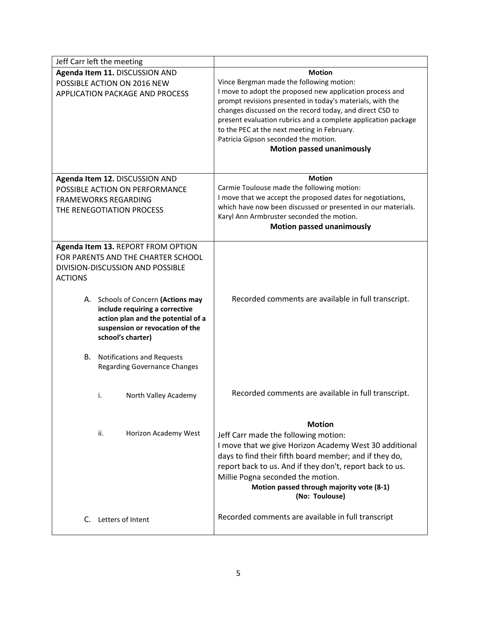|                                 | Jeff Carr left the meeting          |                                                                          |
|---------------------------------|-------------------------------------|--------------------------------------------------------------------------|
| Agenda Item 11. DISCUSSION AND  |                                     | <b>Motion</b>                                                            |
| POSSIBLE ACTION ON 2016 NEW     |                                     | Vince Bergman made the following motion:                                 |
| APPLICATION PACKAGE AND PROCESS |                                     | I move to adopt the proposed new application process and                 |
|                                 |                                     | prompt revisions presented in today's materials, with the                |
|                                 |                                     | changes discussed on the record today, and direct CSD to                 |
|                                 |                                     | present evaluation rubrics and a complete application package            |
|                                 |                                     | to the PEC at the next meeting in February.                              |
|                                 |                                     | Patricia Gipson seconded the motion.<br><b>Motion passed unanimously</b> |
|                                 |                                     |                                                                          |
|                                 |                                     |                                                                          |
|                                 | Agenda Item 12. DISCUSSION AND      | <b>Motion</b>                                                            |
|                                 | POSSIBLE ACTION ON PERFORMANCE      | Carmie Toulouse made the following motion:                               |
|                                 | <b>FRAMEWORKS REGARDING</b>         | I move that we accept the proposed dates for negotiations,               |
|                                 | THE RENEGOTIATION PROCESS           | which have now been discussed or presented in our materials.             |
|                                 |                                     | Karyl Ann Armbruster seconded the motion.                                |
|                                 |                                     | <b>Motion passed unanimously</b>                                         |
|                                 | Agenda Item 13. REPORT FROM OPTION  |                                                                          |
|                                 | FOR PARENTS AND THE CHARTER SCHOOL  |                                                                          |
|                                 | DIVISION-DISCUSSION AND POSSIBLE    |                                                                          |
| <b>ACTIONS</b>                  |                                     |                                                                          |
|                                 |                                     |                                                                          |
|                                 | A. Schools of Concern (Actions may  | Recorded comments are available in full transcript.                      |
|                                 | include requiring a corrective      |                                                                          |
|                                 | action plan and the potential of a  |                                                                          |
|                                 | suspension or revocation of the     |                                                                          |
|                                 | school's charter)                   |                                                                          |
| В.                              | <b>Notifications and Requests</b>   |                                                                          |
|                                 | <b>Regarding Governance Changes</b> |                                                                          |
|                                 |                                     |                                                                          |
|                                 |                                     | Recorded comments are available in full transcript.                      |
|                                 | i.<br>North Valley Academy          |                                                                          |
|                                 |                                     |                                                                          |
|                                 |                                     | <b>Motion</b>                                                            |
|                                 | ii.<br>Horizon Academy West         | Jeff Carr made the following motion:                                     |
|                                 |                                     | I move that we give Horizon Academy West 30 additional                   |
|                                 |                                     | days to find their fifth board member; and if they do,                   |
|                                 |                                     | report back to us. And if they don't, report back to us.                 |
|                                 |                                     | Millie Pogna seconded the motion.                                        |
|                                 |                                     | Motion passed through majority vote (8-1)                                |
|                                 |                                     | (No: Toulouse)                                                           |
|                                 |                                     |                                                                          |
|                                 | C. Letters of Intent                | Recorded comments are available in full transcript                       |
|                                 |                                     |                                                                          |